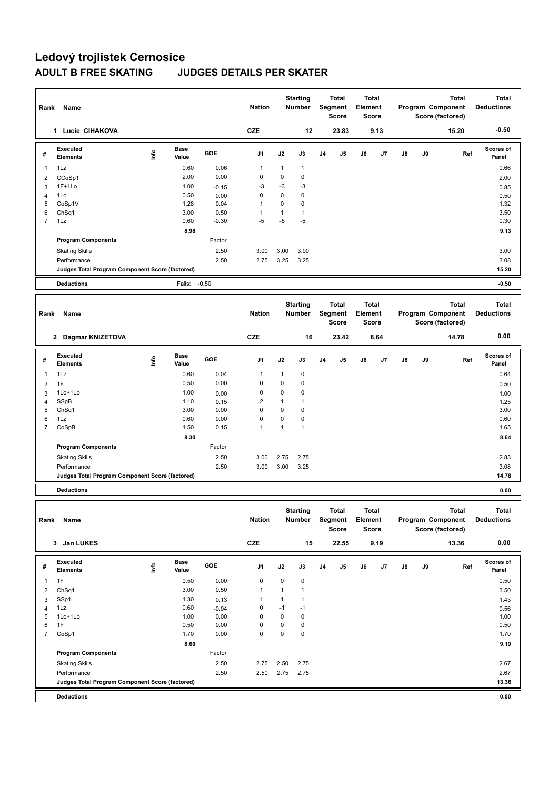| Rank                | Name                                            |      |                      |              | <b>Nation</b>             |                             | <b>Starting</b><br><b>Number</b> |    | Total<br>Segment<br><b>Score</b> | Element | Total<br><b>Score</b> |    |    | <b>Total</b><br>Program Component<br>Score (factored) | <b>Total</b><br><b>Deductions</b> |
|---------------------|-------------------------------------------------|------|----------------------|--------------|---------------------------|-----------------------------|----------------------------------|----|----------------------------------|---------|-----------------------|----|----|-------------------------------------------------------|-----------------------------------|
|                     | 1 Lucie CIHAKOVA                                |      |                      |              | <b>CZE</b>                |                             | 12                               |    | 23.83                            |         | 9.13                  |    |    | 15.20                                                 | $-0.50$                           |
| #                   | <b>Executed</b><br><b>Elements</b>              | Info | <b>Base</b><br>Value | GOE          | J1                        | J2                          | J3                               | J4 | J5                               | J6      | J7                    | J8 | J9 | Ref                                                   | Scores of<br>Panel                |
| 1                   | 1Lz                                             |      | 0.60                 | 0.06         | 1                         | 1                           | 1                                |    |                                  |         |                       |    |    |                                                       | 0.66                              |
| $\overline{2}$      | CCoSp1                                          |      | 2.00                 | 0.00         | $\pmb{0}$                 | $\mathbf 0$                 | 0                                |    |                                  |         |                       |    |    |                                                       | 2.00                              |
| 3                   | $1F+1Lo$                                        |      | 1.00                 | $-0.15$      | $-3$                      | $-3$                        | $-3$                             |    |                                  |         |                       |    |    |                                                       | 0.85                              |
| $\overline{4}$<br>5 | 1Lo                                             |      | 0.50<br>1.28         | 0.00<br>0.04 | $\mathbf 0$<br>1          | $\mathbf 0$<br>0            | 0<br>0                           |    |                                  |         |                       |    |    |                                                       | 0.50                              |
| 6                   | CoSp1V<br>ChSq1                                 |      | 3.00                 | 0.50         | $\mathbf{1}$              | $\mathbf{1}$                | 1                                |    |                                  |         |                       |    |    |                                                       | 1.32<br>3.50                      |
| 7                   | 1Lz                                             |      | 0.60                 | $-0.30$      | $-5$                      | $-5$                        | $-5$                             |    |                                  |         |                       |    |    |                                                       | 0.30                              |
|                     |                                                 |      | 8.98                 |              |                           |                             |                                  |    |                                  |         |                       |    |    |                                                       | 9.13                              |
|                     | <b>Program Components</b>                       |      |                      | Factor       |                           |                             |                                  |    |                                  |         |                       |    |    |                                                       |                                   |
|                     | <b>Skating Skills</b>                           |      |                      | 2.50         | 3.00                      | 3.00                        | 3.00                             |    |                                  |         |                       |    |    |                                                       | 3.00                              |
|                     | Performance                                     |      |                      | 2.50         | 2.75                      | 3.25                        | 3.25                             |    |                                  |         |                       |    |    |                                                       | 3.08                              |
|                     | Judges Total Program Component Score (factored) |      |                      |              |                           |                             |                                  |    |                                  |         |                       |    |    |                                                       | 15.20                             |
|                     | <b>Deductions</b>                               |      | Falls:               | $-0.50$      |                           |                             |                                  |    |                                  |         |                       |    |    |                                                       | $-0.50$                           |
|                     |                                                 |      |                      |              |                           |                             |                                  |    |                                  |         |                       |    |    |                                                       | <b>Total</b>                      |
| Rank                | Name                                            |      |                      |              | <b>Nation</b>             |                             | <b>Starting</b><br>Number        |    | Total<br>Segment<br><b>Score</b> | Element | Total<br><b>Score</b> |    |    | <b>Total</b><br>Program Component<br>Score (factored) | <b>Deductions</b>                 |
|                     | 2 Dagmar KNIZETOVA                              |      |                      |              | <b>CZE</b>                |                             | 16                               |    | 23.42                            |         | 8.64                  |    |    | 14.78                                                 | 0.00                              |
| #                   | <b>Executed</b><br><b>Elements</b>              | Info | Base<br>Value        | GOE          | J1                        | J2                          | J3                               | J4 | J5                               | J6      | J7                    | J8 | J9 | Ref                                                   | Scores of<br>Panel                |
| 1                   | 1Lz                                             |      | 0.60                 | 0.04         | 1                         | 1                           | 0                                |    |                                  |         |                       |    |    |                                                       | 0.64                              |
| $\overline{2}$      | 1F                                              |      | 0.50                 | 0.00         | 0                         | 0                           | 0                                |    |                                  |         |                       |    |    |                                                       | 0.50                              |
| 3                   | 1Lo+1Lo                                         |      | 1.00                 | 0.00         | $\pmb{0}$                 | 0                           | 0                                |    |                                  |         |                       |    |    |                                                       | 1.00                              |
| 4                   | SSpB                                            |      | 1.10                 | 0.15         | $\overline{2}$            | $\mathbf{1}$                | 1                                |    |                                  |         |                       |    |    |                                                       | 1.25                              |
| 5                   | Ch <sub>Sq1</sub>                               |      | 3.00                 | 0.00         | 0                         | 0                           | 0                                |    |                                  |         |                       |    |    |                                                       | 3.00                              |
| 6<br>$\overline{7}$ | 1Lz<br>CoSpB                                    |      | 0.60<br>1.50         | 0.00<br>0.15 | $\pmb{0}$<br>$\mathbf{1}$ | $\mathbf 0$<br>$\mathbf{1}$ | 0<br>$\mathbf{1}$                |    |                                  |         |                       |    |    |                                                       | 0.60<br>1.65                      |
|                     |                                                 |      | 8.30                 |              |                           |                             |                                  |    |                                  |         |                       |    |    |                                                       | 8.64                              |
|                     | <b>Program Components</b>                       |      |                      | Factor       |                           |                             |                                  |    |                                  |         |                       |    |    |                                                       |                                   |
|                     | <b>Skating Skills</b>                           |      |                      | 2.50         | 3.00                      | 2.75                        | 2.75                             |    |                                  |         |                       |    |    |                                                       | 2.83                              |
|                     | Performance                                     |      |                      | 2.50         | 3.00                      | 3.00                        | 3.25                             |    |                                  |         |                       |    |    |                                                       | 3.08                              |
|                     | Judges Total Program Component Score (factored) |      |                      |              |                           |                             |                                  |    |                                  |         |                       |    |    |                                                       | 14.78                             |
|                     | <b>Deductions</b>                               |      |                      |              |                           |                             |                                  |    |                                  |         |                       |    |    |                                                       | 0.00                              |
|                     |                                                 |      |                      |              |                           |                             |                                  |    |                                  |         |                       |    |    |                                                       |                                   |
|                     |                                                 |      |                      |              |                           |                             | <b>Starting</b>                  |    | Total                            |         | <b>Total</b>          |    |    | <b>Total</b>                                          | Total                             |
|                     | Rank Name                                       |      |                      |              | <b>Nation</b>             |                             | <b>Number</b>                    |    | Segment<br>Score                 | Element | Score                 |    |    | Program Component<br>Score (factored)                 | <b>Deductions</b>                 |
|                     | 3 Jan LUKES                                     |      |                      |              | <b>CZE</b>                |                             | 15                               |    | 22.55                            |         | 9.19                  |    |    | 13.36                                                 | 0.00                              |
| #                   | Executed<br><b>Elements</b>                     | lnfo | Base<br>Value        | GOE          | J1                        | J2                          | J3                               | J4 | J5                               | J6      | J7                    | J8 | J9 | Ref                                                   | Scores of<br>Panel                |
| $\mathbf{1}$        | 1F                                              |      | 0.50                 | 0.00         | 0                         | 0                           | 0                                |    |                                  |         |                       |    |    |                                                       | 0.50                              |
| 2                   | ChSq1                                           |      | 3.00                 | 0.50         | 1                         | $\mathbf{1}$                | $\mathbf{1}$                     |    |                                  |         |                       |    |    |                                                       | 3.50                              |
| 3                   | SSp1                                            |      | 1.30                 | 0.13         | 1                         | $\mathbf{1}$                | 1                                |    |                                  |         |                       |    |    |                                                       | 1.43                              |
| $\overline{4}$      | 1Lz                                             |      | 0.60                 | $-0.04$      | 0                         | $-1$                        | $-1$                             |    |                                  |         |                       |    |    |                                                       | 0.56                              |
| 5                   | 1Lo+1Lo                                         |      | 1.00                 | 0.00         | 0                         | $\pmb{0}$                   | 0                                |    |                                  |         |                       |    |    |                                                       | 1.00                              |
| 6                   | 1F                                              |      | 0.50                 | 0.00         | 0                         | $\pmb{0}$                   | 0                                |    |                                  |         |                       |    |    |                                                       | 0.50                              |
| $\overline{7}$      | CoSp1                                           |      | 1.70                 | 0.00         | 0                         | $\pmb{0}$                   | 0                                |    |                                  |         |                       |    |    |                                                       | 1.70                              |
|                     |                                                 |      | 8.60                 |              |                           |                             |                                  |    |                                  |         |                       |    |    |                                                       | 9.19                              |
|                     | <b>Program Components</b>                       |      |                      | Factor       |                           |                             |                                  |    |                                  |         |                       |    |    |                                                       |                                   |
|                     | <b>Skating Skills</b>                           |      |                      | 2.50         | 2.75                      | 2.50                        | 2.75                             |    |                                  |         |                       |    |    |                                                       | 2.67                              |
|                     | Performance                                     |      |                      | 2.50         | 2.50                      | 2.75                        | 2.75                             |    |                                  |         |                       |    |    |                                                       | 2.67                              |
|                     | Judges Total Program Component Score (factored) |      |                      |              |                           |                             |                                  |    |                                  |         |                       |    |    |                                                       | 13.36                             |

**Deductions 0.00**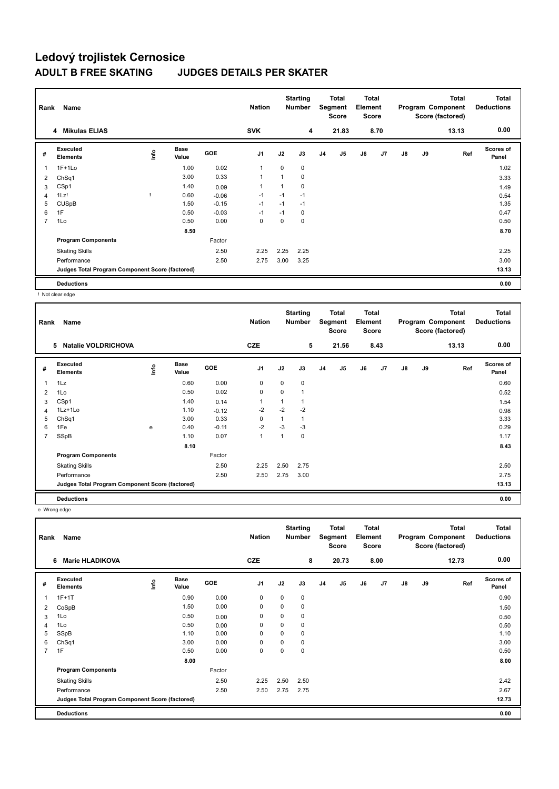| Rank | Name                                            |                         |                      |            | <b>Nation</b>  |                | <b>Starting</b><br><b>Number</b> |                | Total<br>Segment<br><b>Score</b> | <b>Total</b><br>Element<br><b>Score</b> |      |               |    | <b>Total</b><br>Program Component<br>Score (factored) | <b>Total</b><br><b>Deductions</b> |
|------|-------------------------------------------------|-------------------------|----------------------|------------|----------------|----------------|----------------------------------|----------------|----------------------------------|-----------------------------------------|------|---------------|----|-------------------------------------------------------|-----------------------------------|
|      | 4 Mikulas ELIAS                                 |                         |                      |            | <b>SVK</b>     |                | 4                                |                | 21.83                            |                                         | 8.70 |               |    | 13.13                                                 | 0.00                              |
| #    | Executed<br><b>Elements</b>                     | $\mathsf{f}^\mathsf{o}$ | <b>Base</b><br>Value | <b>GOE</b> | J <sub>1</sub> | J2             | J3                               | J <sub>4</sub> | J <sub>5</sub>                   | J6                                      | J7   | $\mathsf{J}8$ | J9 | Ref                                                   | <b>Scores of</b><br>Panel         |
| 1    | $1F+1Lo$                                        |                         | 1.00                 | 0.02       | $\overline{1}$ | $\Omega$       | 0                                |                |                                  |                                         |      |               |    |                                                       | 1.02                              |
| 2    | ChSq1                                           |                         | 3.00                 | 0.33       | $\overline{1}$ | $\overline{1}$ | 0                                |                |                                  |                                         |      |               |    |                                                       | 3.33                              |
| 3    | CSp1                                            |                         | 1.40                 | 0.09       | $\overline{1}$ | 1              | 0                                |                |                                  |                                         |      |               |    |                                                       | 1.49                              |
| 4    | 1Lz!                                            |                         | 0.60                 | $-0.06$    | $-1$           | $-1$           | $-1$                             |                |                                  |                                         |      |               |    |                                                       | 0.54                              |
| 5    | <b>CUSpB</b>                                    |                         | 1.50                 | $-0.15$    | $-1$           | $-1$           | $-1$                             |                |                                  |                                         |      |               |    |                                                       | 1.35                              |
| 6    | 1F                                              |                         | 0.50                 | $-0.03$    | $-1$           | $-1$           | 0                                |                |                                  |                                         |      |               |    |                                                       | 0.47                              |
| 7    | 1Lo                                             |                         | 0.50                 | 0.00       | 0              | 0              | 0                                |                |                                  |                                         |      |               |    |                                                       | 0.50                              |
|      |                                                 |                         | 8.50                 |            |                |                |                                  |                |                                  |                                         |      |               |    |                                                       | 8.70                              |
|      | <b>Program Components</b>                       |                         |                      | Factor     |                |                |                                  |                |                                  |                                         |      |               |    |                                                       |                                   |
|      | <b>Skating Skills</b>                           |                         |                      | 2.50       | 2.25           | 2.25           | 2.25                             |                |                                  |                                         |      |               |    |                                                       | 2.25                              |
|      | Performance                                     |                         |                      | 2.50       | 2.75           | 3.00           | 3.25                             |                |                                  |                                         |      |               |    |                                                       | 3.00                              |
|      | Judges Total Program Component Score (factored) |                         |                      |            |                |                |                                  |                |                                  |                                         |      |               |    |                                                       | 13.13                             |
|      | <b>Deductions</b>                               |                         |                      |            |                |                |                                  |                |                                  |                                         |      |               |    |                                                       | 0.00                              |

! Not clear edge

| Rank           | Name                                            |    |                      |         | <b>Nation</b>  |          | <b>Starting</b><br>Number |                | Total<br>Segment<br><b>Score</b> | <b>Total</b><br>Element<br><b>Score</b> |                |    |    | Total<br>Program Component<br>Score (factored) | <b>Total</b><br><b>Deductions</b> |
|----------------|-------------------------------------------------|----|----------------------|---------|----------------|----------|---------------------------|----------------|----------------------------------|-----------------------------------------|----------------|----|----|------------------------------------------------|-----------------------------------|
|                | <b>Natalie VOLDRICHOVA</b><br>5                 |    |                      |         | <b>CZE</b>     |          | 5                         |                | 21.56                            |                                         | 8.43           |    |    | 13.13                                          | 0.00                              |
| #              | <b>Executed</b><br><b>Elements</b>              | ۴ů | <b>Base</b><br>Value | GOE     | J <sub>1</sub> | J2       | J3                        | J <sub>4</sub> | J <sub>5</sub>                   | J6                                      | J <sub>7</sub> | J8 | J9 | Ref                                            | <b>Scores of</b><br>Panel         |
| 1              | 1Lz                                             |    | 0.60                 | 0.00    | 0              | 0        | 0                         |                |                                  |                                         |                |    |    |                                                | 0.60                              |
| $\overline{2}$ | 1Lo                                             |    | 0.50                 | 0.02    | $\mathbf 0$    | $\Omega$ | 1                         |                |                                  |                                         |                |    |    |                                                | 0.52                              |
| 3              | CSp1                                            |    | 1.40                 | 0.14    | $\mathbf 1$    |          | 1                         |                |                                  |                                         |                |    |    |                                                | 1.54                              |
| 4              | $1Lz+1Lo$                                       |    | 1.10                 | $-0.12$ | $-2$           | $-2$     | $-2$                      |                |                                  |                                         |                |    |    |                                                | 0.98                              |
| 5              | ChSq1                                           |    | 3.00                 | 0.33    | $\Omega$       | 1        | 1                         |                |                                  |                                         |                |    |    |                                                | 3.33                              |
| 6              | 1Fe                                             | e  | 0.40                 | $-0.11$ | $-2$           | $-3$     | $-3$                      |                |                                  |                                         |                |    |    |                                                | 0.29                              |
| $\overline{7}$ | SSpB                                            |    | 1.10                 | 0.07    | 1              | 1        | 0                         |                |                                  |                                         |                |    |    |                                                | 1.17                              |
|                |                                                 |    | 8.10                 |         |                |          |                           |                |                                  |                                         |                |    |    |                                                | 8.43                              |
|                | <b>Program Components</b>                       |    |                      | Factor  |                |          |                           |                |                                  |                                         |                |    |    |                                                |                                   |
|                | <b>Skating Skills</b>                           |    |                      | 2.50    | 2.25           | 2.50     | 2.75                      |                |                                  |                                         |                |    |    |                                                | 2.50                              |
|                | Performance                                     |    |                      | 2.50    | 2.50           | 2.75     | 3.00                      |                |                                  |                                         |                |    |    |                                                | 2.75                              |
|                | Judges Total Program Component Score (factored) |    |                      |         |                |          |                           |                |                                  |                                         |                |    |    |                                                | 13.13                             |
|                | <b>Deductions</b>                               |    |                      |         |                |          |                           |                |                                  |                                         |                |    |    |                                                | 0.00                              |

e Wrong edge

| Rank | Name                                            |    |                      |            | <b>Nation</b>  |             | <b>Starting</b><br><b>Number</b> |    | Total<br>Segment<br>Score | <b>Total</b><br>Element<br><b>Score</b> |      | <b>Total</b><br>Program Component<br>Score (factored) |    |       | <b>Total</b><br><b>Deductions</b> |
|------|-------------------------------------------------|----|----------------------|------------|----------------|-------------|----------------------------------|----|---------------------------|-----------------------------------------|------|-------------------------------------------------------|----|-------|-----------------------------------|
|      | <b>Marie HLADIKOVA</b><br>6                     |    |                      |            | <b>CZE</b>     |             | 8                                |    | 20.73                     |                                         | 8.00 |                                                       |    | 12.73 | 0.00                              |
| #    | Executed<br><b>Elements</b>                     | ۴ů | <b>Base</b><br>Value | <b>GOE</b> | J <sub>1</sub> | J2          | J3                               | J4 | J5                        | J6                                      | J7   | $\mathsf{J}8$                                         | J9 | Ref   | <b>Scores of</b><br>Panel         |
| 1    | $1F+1T$                                         |    | 0.90                 | 0.00       | $\mathbf 0$    | $\Omega$    | $\mathbf 0$                      |    |                           |                                         |      |                                                       |    |       | 0.90                              |
| 2    | CoSpB                                           |    | 1.50                 | 0.00       | $\mathbf 0$    | $\mathbf 0$ | $\mathbf 0$                      |    |                           |                                         |      |                                                       |    |       | 1.50                              |
| 3    | 1Lo                                             |    | 0.50                 | 0.00       | 0              | 0           | 0                                |    |                           |                                         |      |                                                       |    |       | 0.50                              |
| 4    | 1Lo                                             |    | 0.50                 | 0.00       | $\Omega$       | $\mathbf 0$ | 0                                |    |                           |                                         |      |                                                       |    |       | 0.50                              |
| 5    | SSpB                                            |    | 1.10                 | 0.00       | $\mathbf 0$    | $\Omega$    | 0                                |    |                           |                                         |      |                                                       |    |       | 1.10                              |
| 6    | Ch <sub>Sq1</sub>                               |    | 3.00                 | 0.00       | 0              | 0           | 0                                |    |                           |                                         |      |                                                       |    |       | 3.00                              |
| 7    | 1F                                              |    | 0.50                 | 0.00       | 0              | 0           | 0                                |    |                           |                                         |      |                                                       |    |       | 0.50                              |
|      |                                                 |    | 8.00                 |            |                |             |                                  |    |                           |                                         |      |                                                       |    |       | 8.00                              |
|      | <b>Program Components</b>                       |    |                      | Factor     |                |             |                                  |    |                           |                                         |      |                                                       |    |       |                                   |
|      | <b>Skating Skills</b>                           |    |                      | 2.50       | 2.25           | 2.50        | 2.50                             |    |                           |                                         |      |                                                       |    |       | 2.42                              |
|      | Performance                                     |    |                      | 2.50       | 2.50           | 2.75        | 2.75                             |    |                           |                                         |      |                                                       |    |       | 2.67                              |
|      | Judges Total Program Component Score (factored) |    |                      |            |                |             |                                  |    |                           |                                         |      |                                                       |    |       | 12.73                             |
|      | <b>Deductions</b>                               |    |                      |            |                |             |                                  |    |                           |                                         |      |                                                       |    |       | 0.00                              |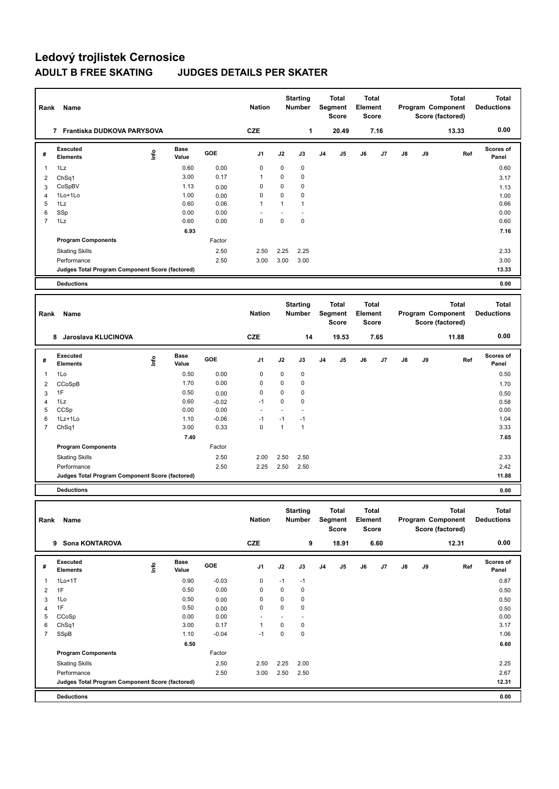| Rank                | Name                                            |      |                      |                 | <b>Nation</b>            |                   | <b>Starting</b><br>Number        |                | Total<br>Segment<br><b>Score</b> | Element | <b>Total</b><br><b>Score</b> |    |    | Total<br>Program Component<br>Score (factored)        | Total<br><b>Deductions</b>        |
|---------------------|-------------------------------------------------|------|----------------------|-----------------|--------------------------|-------------------|----------------------------------|----------------|----------------------------------|---------|------------------------------|----|----|-------------------------------------------------------|-----------------------------------|
|                     | 7 Frantiska DUDKOVA PARYSOVA                    |      |                      |                 | <b>CZE</b>               |                   | 1                                |                | 20.49                            |         | 7.16                         |    |    | 13.33                                                 | 0.00                              |
| #                   | Executed<br><b>Elements</b>                     | lnfo | <b>Base</b><br>Value | GOE             | J1                       | J2                | J3                               | J <sub>4</sub> | J5                               | J6      | J7                           | J8 | J9 | Ref                                                   | <b>Scores of</b><br>Panel         |
| 1                   | 1Lz                                             |      | 0.60                 | 0.00            | 0                        | $\mathbf 0$       | 0                                |                |                                  |         |                              |    |    |                                                       | 0.60                              |
| 2                   | ChSq1                                           |      | 3.00                 | 0.17            | 1                        | 0                 | 0                                |                |                                  |         |                              |    |    |                                                       | 3.17                              |
| 3                   | CoSpBV                                          |      | 1.13<br>1.00         | 0.00            | $\mathbf 0$<br>$\pmb{0}$ | 0<br>$\mathbf 0$  | 0<br>0                           |                |                                  |         |                              |    |    |                                                       | 1.13                              |
| 4<br>5              | 1Lo+1Lo<br>1Lz                                  |      | 0.60                 | 0.00<br>0.06    | $\mathbf{1}$             | $\mathbf{1}$      | $\mathbf{1}$                     |                |                                  |         |                              |    |    |                                                       | 1.00<br>0.66                      |
| 6                   | SSp                                             |      | 0.00                 | 0.00            |                          | L,                |                                  |                |                                  |         |                              |    |    |                                                       | 0.00                              |
| $\overline{7}$      | 1Lz                                             |      | 0.60                 | 0.00            | $\mathbf 0$              | $\mathbf 0$       | 0                                |                |                                  |         |                              |    |    |                                                       | 0.60                              |
|                     |                                                 |      | 6.93                 |                 |                          |                   |                                  |                |                                  |         |                              |    |    |                                                       | 7.16                              |
|                     | <b>Program Components</b>                       |      |                      | Factor          |                          |                   |                                  |                |                                  |         |                              |    |    |                                                       |                                   |
|                     | <b>Skating Skills</b>                           |      |                      | 2.50            | 2.50                     | 2.25              | 2.25                             |                |                                  |         |                              |    |    |                                                       | 2.33                              |
|                     | Performance                                     |      |                      | 2.50            | 3.00                     | 3.00              | 3.00                             |                |                                  |         |                              |    |    |                                                       | 3.00                              |
|                     | Judges Total Program Component Score (factored) |      |                      |                 |                          |                   |                                  |                |                                  |         |                              |    |    |                                                       | 13.33                             |
|                     | <b>Deductions</b>                               |      |                      |                 |                          |                   |                                  |                |                                  |         |                              |    |    |                                                       | 0.00                              |
|                     |                                                 |      |                      |                 |                          |                   |                                  |                |                                  |         |                              |    |    |                                                       |                                   |
| Rank                | Name                                            |      |                      |                 | <b>Nation</b>            |                   | <b>Starting</b><br>Number        |                | Total<br>Segment<br><b>Score</b> | Element | <b>Total</b><br><b>Score</b> |    |    | <b>Total</b><br>Program Component<br>Score (factored) | <b>Total</b><br><b>Deductions</b> |
|                     | 8 Jaroslava KLUCINOVA                           |      |                      |                 | <b>CZE</b>               |                   | 14                               |                | 19.53                            |         | 7.65                         |    |    | 11.88                                                 | 0.00                              |
| #                   | <b>Executed</b>                                 |      | <b>Base</b>          | GOE             | J1                       | J2                | J3                               | J <sub>4</sub> | J5                               | J6      | J7                           | J8 | J9 | Ref                                                   | Scores of                         |
|                     | <b>Elements</b>                                 | lnfo | Value                |                 |                          |                   |                                  |                |                                  |         |                              |    |    |                                                       | Panel                             |
| 1                   | 1Lo                                             |      | 0.50                 | 0.00            | $\mathbf 0$              | $\mathbf 0$       | 0                                |                |                                  |         |                              |    |    |                                                       | 0.50                              |
| 2                   | CCoSpB                                          |      | 1.70                 | 0.00            | $\mathbf 0$              | 0                 | 0                                |                |                                  |         |                              |    |    |                                                       | 1.70                              |
| 3                   | 1F                                              |      | 0.50                 | 0.00            | 0                        | 0                 | 0                                |                |                                  |         |                              |    |    |                                                       | 0.50                              |
| $\overline{4}$<br>5 | 1Lz<br>CCSp                                     |      | 0.60<br>0.00         | $-0.02$<br>0.00 | $-1$<br>ä,               | $\mathbf 0$<br>÷. | 0<br>÷.                          |                |                                  |         |                              |    |    |                                                       | 0.58<br>0.00                      |
| 6                   | 1Lz+1Lo                                         |      | 1.10                 | $-0.06$         | $-1$                     | $-1$              | $-1$                             |                |                                  |         |                              |    |    |                                                       | 1.04                              |
| $\overline{7}$      | Ch <sub>Sq1</sub>                               |      | 3.00                 | 0.33            | $\mathbf 0$              | $\mathbf{1}$      | $\mathbf{1}$                     |                |                                  |         |                              |    |    |                                                       | 3.33                              |
|                     |                                                 |      | 7.40                 |                 |                          |                   |                                  |                |                                  |         |                              |    |    |                                                       | 7.65                              |
|                     | <b>Program Components</b>                       |      |                      | Factor          |                          |                   |                                  |                |                                  |         |                              |    |    |                                                       |                                   |
|                     | <b>Skating Skills</b>                           |      |                      | 2.50            | 2.00                     | 2.50              | 2.50                             |                |                                  |         |                              |    |    |                                                       | 2.33                              |
|                     | Performance                                     |      |                      | 2.50            | 2.25                     | 2.50              | 2.50                             |                |                                  |         |                              |    |    |                                                       | 2.42                              |
|                     | Judges Total Program Component Score (factored) |      |                      |                 |                          |                   |                                  |                |                                  |         |                              |    |    |                                                       | 11.88                             |
|                     | <b>Deductions</b>                               |      |                      |                 |                          |                   |                                  |                |                                  |         |                              |    |    |                                                       | 0.00                              |
|                     |                                                 |      |                      |                 |                          |                   |                                  |                |                                  |         |                              |    |    |                                                       |                                   |
| Rank                | Name                                            |      |                      |                 | <b>Nation</b>            |                   | <b>Starting</b><br><b>Number</b> |                | Total<br>Segment<br>Score        | Element | Total<br>Score               |    |    | Total<br>Program Component<br>Score (factored)        | Total<br><b>Deductions</b>        |
|                     | 9 Sona KONTAROVA                                |      |                      |                 | <b>CZE</b>               |                   | 9                                |                | 18.91                            |         | 6.60                         |    |    | 12.31                                                 | 0.00                              |
| #                   | Executed<br>Elements                            | lnfo | Base<br>Value        | GOE             | J1                       | J2                | J3                               | J4             | J5                               | J6      | J7                           | J8 | J9 | Ref                                                   | Scores of<br>Panel                |
| 1                   | $1Lo+1T$                                        |      | 0.90                 | $-0.03$         | 0                        | $-1$              | $-1$                             |                |                                  |         |                              |    |    |                                                       | 0.87                              |
| $\overline{2}$      | 1F                                              |      | 0.50                 | 0.00            | 0                        | 0                 | 0                                |                |                                  |         |                              |    |    |                                                       | 0.50                              |
| 3                   | 1Lo                                             |      | 0.50                 | 0.00            | 0                        | 0                 | 0                                |                |                                  |         |                              |    |    |                                                       | 0.50                              |
| 4                   | 1F                                              |      | 0.50                 | 0.00            | 0                        | 0                 | 0                                |                |                                  |         |                              |    |    |                                                       | 0.50                              |
| 5                   | CCoSp                                           |      | 0.00                 | 0.00            |                          | $\blacksquare$    |                                  |                |                                  |         |                              |    |    |                                                       | 0.00                              |
| 6                   | ChSq1                                           |      | 3.00                 | 0.17            | $\mathbf{1}$             | $\pmb{0}$         | 0                                |                |                                  |         |                              |    |    |                                                       | 3.17                              |
| $\overline{7}$      | SSpB                                            |      | 1.10                 | $-0.04$         | $-1$                     | $\pmb{0}$         | 0                                |                |                                  |         |                              |    |    |                                                       | 1.06                              |
|                     |                                                 |      | 6.50                 |                 |                          |                   |                                  |                |                                  |         |                              |    |    |                                                       | 6.60                              |
|                     | <b>Program Components</b>                       |      |                      | Factor          |                          |                   |                                  |                |                                  |         |                              |    |    |                                                       |                                   |
|                     | <b>Skating Skills</b>                           |      |                      | 2.50            | 2.50                     | 2.25              | 2.00                             |                |                                  |         |                              |    |    |                                                       | 2.25                              |
|                     | Performance                                     |      |                      | 2.50            | 3.00                     | 2.50              | 2.50                             |                |                                  |         |                              |    |    |                                                       | 2.67                              |
|                     | Judges Total Program Component Score (factored) |      |                      |                 |                          |                   |                                  |                |                                  |         |                              |    |    |                                                       | 12.31                             |
|                     | <b>Deductions</b>                               |      |                      |                 |                          |                   |                                  |                |                                  |         |                              |    |    |                                                       | 0.00                              |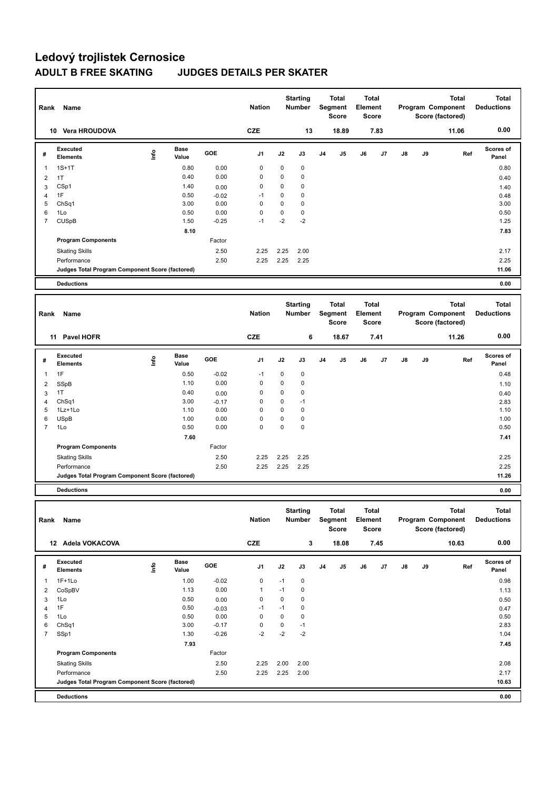|                |                                                 |      |                      |         |                |             | <b>Starting</b>                  |                | Total                                          | <b>Total</b> |                       |    |    | <b>Total</b>                                          | <b>Total</b>                      |
|----------------|-------------------------------------------------|------|----------------------|---------|----------------|-------------|----------------------------------|----------------|------------------------------------------------|--------------|-----------------------|----|----|-------------------------------------------------------|-----------------------------------|
| Rank           | Name                                            |      |                      |         | <b>Nation</b>  |             | Number                           |                | Segment<br><b>Score</b>                        | Element      | Score                 |    |    | Program Component<br>Score (factored)                 | <b>Deductions</b>                 |
|                | 10 Vera HROUDOVA                                |      |                      |         | <b>CZE</b>     |             | 13                               |                | 18.89                                          |              | 7.83                  |    |    | 11.06                                                 | 0.00                              |
| #              | <b>Executed</b><br><b>Elements</b>              | lnfo | <b>Base</b><br>Value | GOE     | J <sub>1</sub> | J2          | J3                               | J <sub>4</sub> | J5                                             | J6           | J7                    | J8 | J9 | Ref                                                   | Scores of<br>Panel                |
| $\mathbf{1}$   | $1S+1T$                                         |      | 0.80                 | 0.00    | 0              | 0           | 0                                |                |                                                |              |                       |    |    |                                                       | 0.80                              |
| $\overline{2}$ | 1T                                              |      | 0.40                 | 0.00    | 0              | 0           | 0                                |                |                                                |              |                       |    |    |                                                       | 0.40                              |
| 3              | CSp1                                            |      | 1.40                 | 0.00    | $\mathbf 0$    | $\mathbf 0$ | 0                                |                |                                                |              |                       |    |    |                                                       | 1.40                              |
| $\overline{4}$ | 1F                                              |      | 0.50                 | $-0.02$ | $-1$           | 0           | 0                                |                |                                                |              |                       |    |    |                                                       | 0.48                              |
| 5              | Ch <sub>Sq1</sub>                               |      | 3.00                 | 0.00    | $\mathbf 0$    | $\mathbf 0$ | 0                                |                |                                                |              |                       |    |    |                                                       | 3.00                              |
| 6              | 1Lo                                             |      | 0.50                 | 0.00    | $\mathbf 0$    | $\mathbf 0$ | 0                                |                |                                                |              |                       |    |    |                                                       | 0.50                              |
| $\overline{7}$ | <b>CUSpB</b>                                    |      | 1.50                 | $-0.25$ | $-1$           | $-2$        | $-2$                             |                |                                                |              |                       |    |    |                                                       | 1.25                              |
|                |                                                 |      | 8.10                 |         |                |             |                                  |                |                                                |              |                       |    |    |                                                       | 7.83                              |
|                | <b>Program Components</b>                       |      |                      | Factor  |                |             |                                  |                |                                                |              |                       |    |    |                                                       |                                   |
|                | <b>Skating Skills</b>                           |      |                      | 2.50    | 2.25           | 2.25        | 2.00                             |                |                                                |              |                       |    |    |                                                       | 2.17                              |
|                | Performance                                     |      |                      | 2.50    | 2.25           | 2.25        | 2.25                             |                |                                                |              |                       |    |    |                                                       | 2.25                              |
|                | Judges Total Program Component Score (factored) |      |                      |         |                |             |                                  |                |                                                |              |                       |    |    |                                                       | 11.06                             |
|                | <b>Deductions</b>                               |      |                      |         |                |             |                                  |                |                                                |              |                       |    |    |                                                       | 0.00                              |
|                |                                                 |      |                      |         |                |             |                                  |                |                                                |              |                       |    |    |                                                       |                                   |
| Rank           | Name                                            |      |                      |         | <b>Nation</b>  |             | <b>Starting</b><br><b>Number</b> |                | <b>Total</b><br><b>Segment</b><br><b>Score</b> | Element      | Total<br><b>Score</b> |    |    | <b>Total</b><br>Program Component<br>Score (factored) | <b>Total</b><br><b>Deductions</b> |
|                |                                                 |      |                      |         |                |             |                                  |                |                                                |              |                       |    |    |                                                       |                                   |
|                | 11 Pavel HOFR                                   |      |                      |         | <b>CZE</b>     |             | 6                                |                | 18.67                                          |              | 7.41                  |    |    | 11.26                                                 | 0.00                              |
|                |                                                 |      |                      |         |                |             |                                  |                |                                                |              |                       |    |    |                                                       |                                   |
| #              | <b>Executed</b><br><b>Elements</b>              | lnfo | <b>Base</b><br>Value | GOE     | J1             | J2          | J3                               | J4             | J5                                             | J6           | J7                    | J8 | J9 | Ref                                                   | Scores of<br>Panel                |
| $\mathbf{1}$   | 1F                                              |      | 0.50                 | $-0.02$ | $-1$           | 0           | 0                                |                |                                                |              |                       |    |    |                                                       | 0.48                              |
| $\overline{2}$ |                                                 |      | 1.10                 | 0.00    | $\mathbf 0$    | $\mathbf 0$ | 0                                |                |                                                |              |                       |    |    |                                                       | 1.10                              |
| 3              | SSpB<br>1T                                      |      | 0.40                 | 0.00    | 0              | $\mathbf 0$ | $\mathbf 0$                      |                |                                                |              |                       |    |    |                                                       |                                   |
| $\overline{4}$ | Ch <sub>Sq1</sub>                               |      | 3.00                 | $-0.17$ | 0              | 0           | $-1$                             |                |                                                |              |                       |    |    |                                                       | 0.40<br>2.83                      |
| 5              | 1Lz+1Lo                                         |      | 1.10                 | 0.00    | $\mathbf 0$    | $\mathbf 0$ | $\mathbf 0$                      |                |                                                |              |                       |    |    |                                                       | 1.10                              |
| 6              | <b>USpB</b>                                     |      | 1.00                 | 0.00    | 0              | 0           | $\mathbf 0$                      |                |                                                |              |                       |    |    |                                                       | 1.00                              |
| $\overline{7}$ | 1Lo                                             |      | 0.50                 | 0.00    | $\mathbf 0$    | $\mathbf 0$ | 0                                |                |                                                |              |                       |    |    |                                                       | 0.50                              |
|                |                                                 |      | 7.60                 |         |                |             |                                  |                |                                                |              |                       |    |    |                                                       | 7.41                              |
|                | <b>Program Components</b>                       |      |                      | Factor  |                |             |                                  |                |                                                |              |                       |    |    |                                                       |                                   |
|                | <b>Skating Skills</b>                           |      |                      | 2.50    | 2.25           | 2.25        | 2.25                             |                |                                                |              |                       |    |    |                                                       | 2.25                              |
|                | Performance                                     |      |                      | 2.50    | 2.25           | 2.25        | 2.25                             |                |                                                |              |                       |    |    |                                                       | 2.25                              |
|                | Judges Total Program Component Score (factored) |      |                      |         |                |             |                                  |                |                                                |              |                       |    |    |                                                       | 11.26                             |
|                | <b>Deductions</b>                               |      |                      |         |                |             |                                  |                |                                                |              |                       |    |    |                                                       | 0.00                              |
|                |                                                 |      |                      |         |                |             |                                  |                |                                                |              |                       |    |    |                                                       |                                   |
|                |                                                 |      |                      |         |                |             | <b>Starting</b>                  |                | <b>Total</b>                                   | Total        |                       |    |    | <b>Total</b>                                          | Total                             |
| Rank           | Name                                            |      |                      |         | <b>Nation</b>  |             | Number                           |                | Segment<br>Score                               | Element      | Score                 |    |    | Program Component<br>Score (factored)                 | <b>Deductions</b>                 |
|                |                                                 |      |                      |         |                |             |                                  |                |                                                |              |                       |    |    |                                                       | 0.00                              |
|                | 12 Adela VOKACOVA                               |      |                      |         | CZE            |             | $\mathbf 3$                      |                | 18.08                                          |              | 7.45                  |    |    | 10.63                                                 |                                   |
|                | <b>Executed</b>                                 |      | Base                 |         |                |             |                                  |                |                                                |              |                       |    |    |                                                       | Scores of                         |
| #              | Elements                                        | lnfo | Value                | GOE     | J1             | J2          | J3                               | J4             | J5                                             | J6           | J7                    | J8 | J9 | Ref                                                   | Panel                             |
| $\mathbf{1}$   | 1F+1Lo                                          |      | 1.00                 | $-0.02$ | 0              | $-1$        | 0                                |                |                                                |              |                       |    |    |                                                       | 0.98                              |
| $\overline{2}$ | CoSpBV                                          |      | 1.13                 | 0.00    | $\mathbf{1}$   | $-1$        | 0                                |                |                                                |              |                       |    |    |                                                       | 1.13                              |

4 1F 0.47 0.50 -0.03 -1 -1 0 1Lo 0.50 0.00 0 0 0 0.50 ChSq1 3.00 -0.17 0 0 -1 2.83 SSp1 1.30 -0.26 -2 -2 -2 1.04

Skating Skills 2.25 2.00 2.00 2.50 2.08

Performance 2.50 2.25 2.25 2.00 2.17

**Deductions 0.00 Judges Total Program Component Score (factored) 10.63**

Factor

**Program Components** 

 **7.93 7.45**